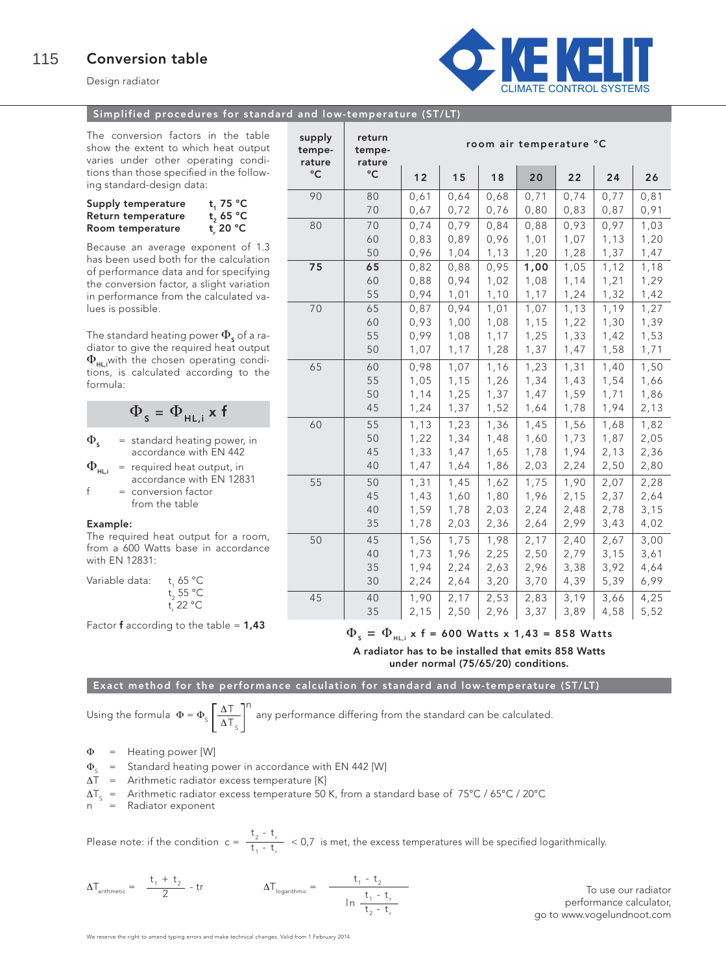Design radiator



### Simplified procedures for standard and low-temperature (ST/LT)

The conversion factors in the table show the extent to which heat output varies under other operating conditions than those specified in the following standard-design data:

| Supply temperature | t, 75 $\degree$ C |
|--------------------|-------------------|
| Return temperature | t, 65 $\degree$ C |
| Room temperature   | t. 20 °C          |

Because an average exponent of 1.3 has been used both for the calculation of performance data and for specifying the conversion factor, a slight variation in performance from the calculated values is possible.

The standard heating power  $\Phi_{\rm s}$  of a radiator to give the required heat output  $\Phi_{HL}$  with the chosen operating conditions, is calculated according to the formula:

$$
\Phi_{s} = \Phi_{HL,i} \times f
$$

 $\Phi_{\epsilon}$  = standard heating power, in

 $\Phi_{\text{u}_1}$  = required heat output, in  $=$  required heat output, in accordance with EN 12831  $f = \text{conversion factor}$ from the table

## Example:

The required heat output for a room, from a 600 Watts base in accordance with EN 12831:

| t, 65 °C          |
|-------------------|
| t, 55 °C          |
| t 22 $^{\circ}$ C |
|                   |

Factor **f** according to the table =  $1.43$ 

| supply<br>tempe-<br>rature | return<br>tempe-<br>rature | room air temperature °C |      |      |      |      |      |      |
|----------------------------|----------------------------|-------------------------|------|------|------|------|------|------|
| $\rm ^{\circ}C$            | °C                         | 12                      | 15   | 18   | 20   | 22   | 24   | 26   |
| 90                         | 80                         | 0,61                    | 0,64 | 0,68 | 0,71 | 0,74 | 0,77 | 0,81 |
|                            | 70                         | 0,67                    | 0,72 | 0,76 | 0,80 | 0,83 | 0,87 | 0,91 |
| 80                         | 70                         | 0,74                    | 0,79 | 0,84 | 0,88 | 0,93 | 0,97 | 1,03 |
|                            | 60                         | 0,83                    | 0,89 | 0,96 | 1,01 | 1,07 | 1,13 | 1,20 |
|                            | 50                         | 0,96                    | 1,04 | 1,13 | 1,20 | 1,28 | 1,37 | 1,47 |
| 75                         | 65                         | 0,82                    | 0,88 | 0,95 | 1,00 | 1,05 | 1,12 | 1,18 |
|                            | 60                         | 0,88                    | 0,94 | 1,02 | 1,08 | 1,14 | 1,21 | 1,29 |
|                            | 55                         | 0,94                    | 1,01 | 1,10 | 1,17 | 1,24 | 1,32 | 1,42 |
| 70                         | 65                         | 0,87                    | 0,94 | 1,01 | 1,07 | 1,13 | 1,19 | 1,27 |
|                            | 60                         | 0,93                    | 1,00 | 1,08 | 1,15 | 1,22 | 1,30 | 1,39 |
|                            | 55                         | 0,99                    | 1,08 | 1,17 | 1,25 | 1,33 | 1,42 | 1,53 |
|                            | 50                         | 1,07                    | 1,17 | 1,28 | 1,37 | 1,47 | 1,58 | 1,71 |
| 65                         | 60                         | 0,98                    | 1,07 | 1,16 | 1,23 | 1,31 | 1,40 | 1,50 |
|                            | 55                         | 1,05                    | 1,15 | 1,26 | 1,34 | 1,43 | 1,54 | 1,66 |
|                            | 50                         | 1,14                    | 1,25 | 1,37 | 1,47 | 1,59 | 1,71 | 1,86 |
|                            | 45                         | 1,24                    | 1,37 | 1,52 | 1,64 | 1,78 | 1,94 | 2,13 |
| 60                         | 55                         | 1,13                    | 1,23 | 1,36 | 1,45 | 1,56 | 1,68 | 1,82 |
|                            | 50                         | 1,22                    | 1,34 | 1,48 | 1,60 | 1,73 | 1,87 | 2,05 |
|                            | 45                         | 1,33                    | 1,47 | 1,65 | 1,78 | 1,94 | 2,13 | 2,36 |
|                            | 40                         | 1,47                    | 1,64 | 1,86 | 2,03 | 2,24 | 2,50 | 2,80 |
| 55                         | 50                         | 1, 31                   | 1,45 | 1,62 | 1,75 | 1,90 | 2,07 | 2,28 |
|                            | 45                         | 1,43                    | 1,60 | 1,80 | 1,96 | 2,15 | 2,37 | 2,64 |
|                            | 40                         | 1,59                    | 1,78 | 2,03 | 2,24 | 2,48 | 2,78 | 3,15 |
|                            | 35                         | 1,78                    | 2,03 | 2,36 | 2,64 | 2,99 | 3,43 | 4,02 |
| 50                         | 45                         | 1,56                    | 1,75 | 1,98 | 2,17 | 2,40 | 2,67 | 3,00 |
|                            | 40                         | 1,73                    | 1,96 | 2,25 | 2,50 | 2,79 | 3,15 | 3,61 |
|                            | 35                         | 1,94                    | 2,24 | 2,63 | 2,96 | 3,38 | 3,92 | 4,64 |
|                            | 30                         | 2,24                    | 2,64 | 3,20 | 3,70 | 4,39 | 5,39 | 6,99 |
| 45                         | 40                         | 1,90                    | 2,17 | 2,53 | 2,83 | 3,19 | 3,66 | 4,25 |
|                            | 35                         | 2,15                    | 2,50 | 2,96 | 3,37 | 3,89 | 4,58 | 5,52 |

 $\Phi_{\rm s} = \Phi_{\rm HLi}$  x f = 600 Watts x 1,43 = 858 Watts

A radiator has to be installed that emits 858 Watts under normal (75/65/20) conditions.

Exact method for the performance calculation for standard and low-temperature (ST/LT)

Using the formula  $\Phi = \Phi_s \left( \frac{\Delta T}{\Delta T} \right)^{11}$  any performance differing from the standard can be calculated.  $\Delta$ T $_{\textrm{\tiny{S}}}$ n

Φ = Heating power [W]

 $\Phi_{s}$  = Standard heating power in accordance with EN 442 [W]<br> $\Delta T$  = Arithmetic radiator excess temperature [K]

= Arithmetic radiator excess temperature [K]

 $\Delta T_s$  = Arithmetic radiator excess temperature 50 K, from a standard base of 75°C / 65°C / 20°C n = Radiator exponent

Radiator exponent

Please note: if the condition  $c = \frac{t_2 - t}{t_1 + t_2} < 0.7$  is met, the excess temperatures will be specified logarithmically.  $t_1 - t_r$ 

$$
\Delta T_{\text{arithmetic}} = \frac{t_1 + t_2}{2} - tr \qquad \qquad \Delta T_{\text{logarithmic}} = \frac{t_1 - t_2}{\frac{t_1 - t_r}{t_2 - t_r}}
$$

To use our radiator performance calculator, go to www.vogelundnoot.com